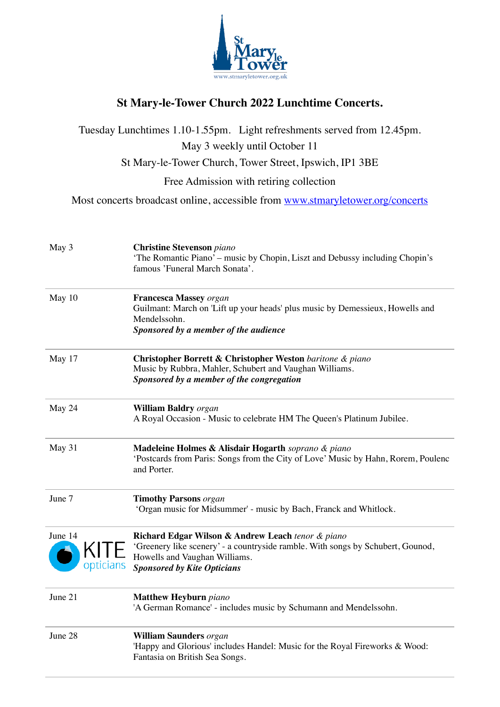

## **St Mary-le-Tower Church 2022 Lunchtime Concerts.**

Tuesday Lunchtimes 1.10-1.55pm. Light refreshments served from 12.45pm. May 3 weekly until October 11 St Mary-le-Tower Church, Tower Street, Ipswich, IP1 3BE Free Admission with retiring collection Most concerts broadcast online, accessible from [www.stmaryletower.org/concerts](http://www.stmaryletower.org.uk/concerts) May 3 **Christine Stevenson** *piano* 'The Romantic Piano' – music by Chopin, Liszt and Debussy including Chopin's famous 'Funeral March Sonata'. May 10 **Francesca Massey** *organ* Guilmant: March on 'Lift up your heads' plus music by Demessieux, Howells and Mendelssohn. *Sponsored by a member of the audience* May 17 **Christopher Borrett & Christopher Weston** *baritone & piano* Music by Rubbra, Mahler, Schubert and Vaughan Williams. *Sponsored by a member of the congregation* May 24 **William Baldry** *organ* A Royal Occasion - Music to celebrate HM The Queen's Platinum Jubilee. May 31 **Madeleine Holmes & Alisdair Hogarth** *soprano & piano* 'Postcards from Paris: Songs from the City of Love' Music by Hahn, Rorem, Poulenc and Porter. June 7 **Timothy Parsons** *organ* 'Organ music for Midsummer' - music by Bach, Franck and Whitlock. **Richard Edgar Wilson & Andrew Leach** *tenor & piano* 'Greenery like scenery' - a countryside ramble. With songs by Schubert, Gounod, Howells and Vaughan Williams. *Sponsored by Kite Opticians* June 21 **Matthew Heyburn** *piano* 'A German Romance' - includes music by Schumann and Mendelssohn. June 28 **William Saunders** *organ* 'Happy and Glorious' includes Handel: Music for the Royal Fireworks & Wood: Fantasia on British Sea Songs. June 14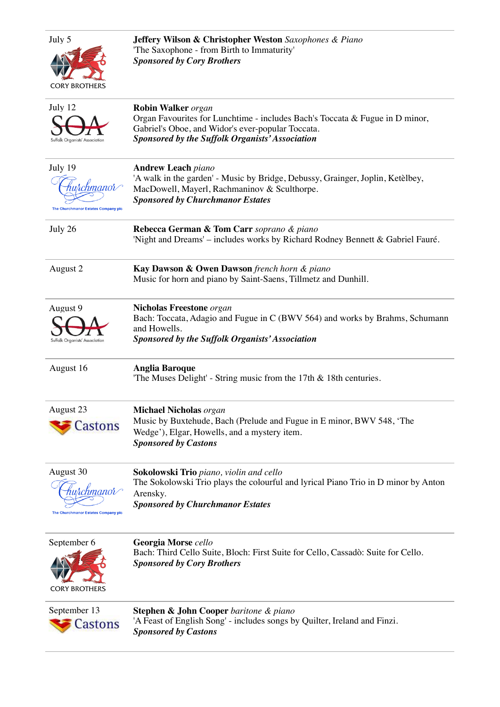| July 5<br><b>CORY BROTHERS</b>                                                   | <b>Jeffery Wilson &amp; Christopher Weston</b> Saxophones & Piano<br>'The Saxophone - from Birth to Immaturity'<br><b>Sponsored by Cory Brothers</b>                                                                     |
|----------------------------------------------------------------------------------|--------------------------------------------------------------------------------------------------------------------------------------------------------------------------------------------------------------------------|
| July 12<br>Suffolk Organists' Association                                        | <b>Robin Walker</b> organ<br>Organ Favourites for Lunchtime - includes Bach's Toccata & Fugue in D minor,<br>Gabriel's Oboe, and Widor's ever-popular Toccata.<br><b>Sponsored by the Suffolk Organists' Association</b> |
| July 19<br>hurchmanor $\curvearrowright$<br>The Churchmanor Estates Company plo  | <b>Andrew Leach piano</b><br>'A walk in the garden' - Music by Bridge, Debussy, Grainger, Joplin, Ketèlbey,<br>MacDowell, Mayerl, Rachmaninov & Sculthorpe.<br><b>Sponsored by Churchmanor Estates</b>                   |
| July 26                                                                          | Rebecca German & Tom Carr soprano & piano<br>'Night and Dreams' - includes works by Richard Rodney Bennett & Gabriel Fauré.                                                                                              |
| August 2                                                                         | Kay Dawson & Owen Dawson french horn & piano<br>Music for horn and piano by Saint-Saens, Tillmetz and Dunhill.                                                                                                           |
| August 9<br>Suffolk Organists' Association                                       | <b>Nicholas Freestone</b> organ<br>Bach: Toccata, Adagio and Fugue in C (BWV 564) and works by Brahms, Schumann<br>and Howells.<br><b>Sponsored by the Suffolk Organists' Association</b>                                |
| August 16                                                                        | <b>Anglia Baroque</b><br>'The Muses Delight' - String music from the 17th & 18th centuries.                                                                                                                              |
| August 23<br>Castons                                                             | <b>Michael Nicholas organ</b><br>Music by Buxtehude, Bach (Prelude and Fugue in E minor, BWV 548, 'The<br>Wedge'), Elgar, Howells, and a mystery item.<br><b>Sponsored by Castons</b>                                    |
| August 30<br>huschmanor $\curvearrowleft$<br>The Churchmanor Estates Company plo | Sokolowski Trio piano, violin and cello<br>The Sokolowski Trio plays the colourful and lyrical Piano Trio in D minor by Anton<br>Arensky.<br><b>Sponsored by Churchmanor Estates</b>                                     |
| September 6<br><b>CORY BROTHERS</b>                                              | Georgia Morse cello<br>Bach: Third Cello Suite, Bloch: First Suite for Cello, Cassadò: Suite for Cello.<br><b>Sponsored by Cory Brothers</b>                                                                             |
| September 13<br>Castons                                                          | <b>Stephen &amp; John Cooper</b> baritone & piano<br>'A Feast of English Song' - includes songs by Quilter, Ireland and Finzi.<br><b>Sponsored by Castons</b>                                                            |